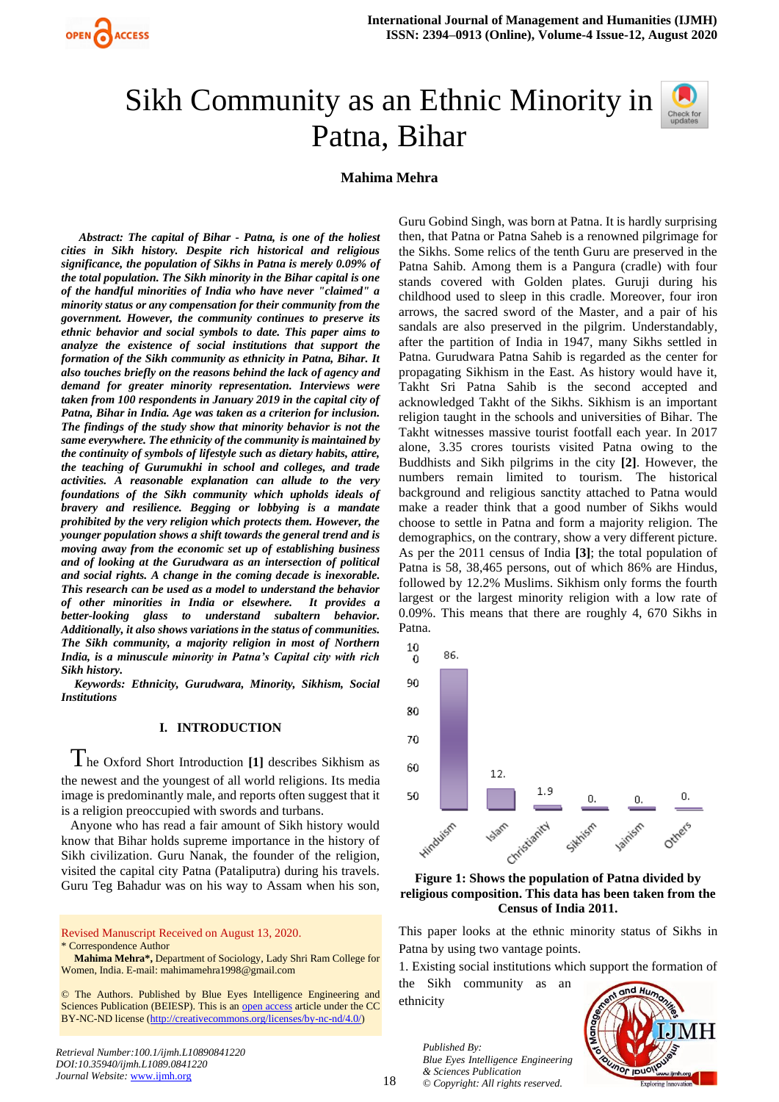# Sikh Community as an Ethnic Minority in Patna, Bihar



# **Mahima Mehra**

*Abstract: The capital of Bihar - Patna, is one of the holiest cities in Sikh history. Despite rich historical and religious significance, the population of Sikhs in Patna is merely 0.09% of the total population. The Sikh minority in the Bihar capital is one of the handful minorities of India who have never "claimed" a minority status or any compensation for their community from the government. However, the community continues to preserve its ethnic behavior and social symbols to date. This paper aims to analyze the existence of social institutions that support the formation of the Sikh community as ethnicity in Patna, Bihar. It also touches briefly on the reasons behind the lack of agency and demand for greater minority representation. Interviews were taken from 100 respondents in January 2019 in the capital city of Patna, Bihar in India. Age was taken as a criterion for inclusion. The findings of the study show that minority behavior is not the same everywhere. The ethnicity of the community is maintained by the continuity of symbols of lifestyle such as dietary habits, attire, the teaching of Gurumukhi in school and colleges, and trade activities. A reasonable explanation can allude to the very foundations of the Sikh community which upholds ideals of bravery and resilience. Begging or lobbying is a mandate prohibited by the very religion which protects them. However, the younger population shows a shift towards the general trend and is moving away from the economic set up of establishing business and of looking at the Gurudwara as an intersection of political and social rights. A change in the coming decade is inexorable. This research can be used as a model to understand the behavior of other minorities in India or elsewhere. It provides a better-looking glass to understand subaltern behavior. Additionally, it also shows variations in the status of communities. The Sikh community, a majority religion in most of Northern India, is a minuscule minority in Patna's Capital city with rich Sikh history.* 

*Keywords: Ethnicity, Gurudwara, Minority, Sikhism, Social Institutions* 

#### **I. INTRODUCTION**

The Oxford Short Introduction **[1]** describes Sikhism as the newest and the youngest of all world religions. Its media image is predominantly male, and reports often suggest that it is a religion preoccupied with swords and turbans.

Anyone who has read a fair amount of Sikh history would know that Bihar holds supreme importance in the history of Sikh civilization. Guru Nanak, the founder of the religion, visited the capital city Patna (Pataliputra) during his travels. Guru Teg Bahadur was on his way to Assam when his son,

Revised Manuscript Received on August 13, 2020. \* Correspondence Author

**Mahima Mehra\*,** Department of Sociology, Lady Shri Ram College for Women, India. E-mail[: mahimamehra1998@gmail.com](mailto:mahimamehra1998@gmail.com)

© The Authors. Published by Blue Eyes Intelligence Engineering and Sciences Publication (BEIESP). This is an [open access](https://www.openaccess.nl/en/open-publications) article under the CC BY-NC-ND license [\(http://creativecommons.org/licenses/by-nc-nd/4.0/\)](http://creativecommons.org/licenses/by-nc-nd/4.0/)

Guru Gobind Singh, was born at Patna. It is hardly surprising then, that Patna or Patna Saheb is a renowned pilgrimage for the Sikhs. Some relics of the tenth Guru are preserved in the Patna Sahib. Among them is a Pangura (cradle) with four stands covered with Golden plates. Guruji during his childhood used to sleep in this cradle. Moreover, four iron arrows, the sacred sword of the Master, and a pair of his sandals are also preserved in the pilgrim. Understandably, after the partition of India in 1947, many Sikhs settled in Patna. Gurudwara Patna Sahib is regarded as the center for propagating Sikhism in the East. As history would have it, Takht Sri Patna Sahib is the second accepted and acknowledged Takht of the Sikhs. Sikhism is an important religion taught in the schools and universities of Bihar. The Takht witnesses massive tourist footfall each year. In 2017 alone, 3.35 crores tourists visited Patna owing to the Buddhists and Sikh pilgrims in the city **[2]**. However, the numbers remain limited to tourism. The historical background and religious sanctity attached to Patna would make a reader think that a good number of Sikhs would choose to settle in Patna and form a majority religion. The demographics, on the contrary, show a very different picture. As per the 2011 census of India **[3]**; the total population of Patna is 58, 38,465 persons, out of which 86% are Hindus, followed by 12.2% Muslims. Sikhism only forms the fourth largest or the largest minority religion with a low rate of 0.09%. This means that there are roughly 4, 670 Sikhs in Patna.



**Figure 1: Shows the population of Patna divided by religious composition. This data has been taken from the Census of India 2011.**

This paper looks at the ethnic minority status of Sikhs in Patna by using two vantage points.

1. Existing social institutions which support the formation of

the Sikh community as an ethnicity

> *Published By: Blue Eyes Intelligence Engineering & Sciences Publication © Copyright: All rights reserved.*

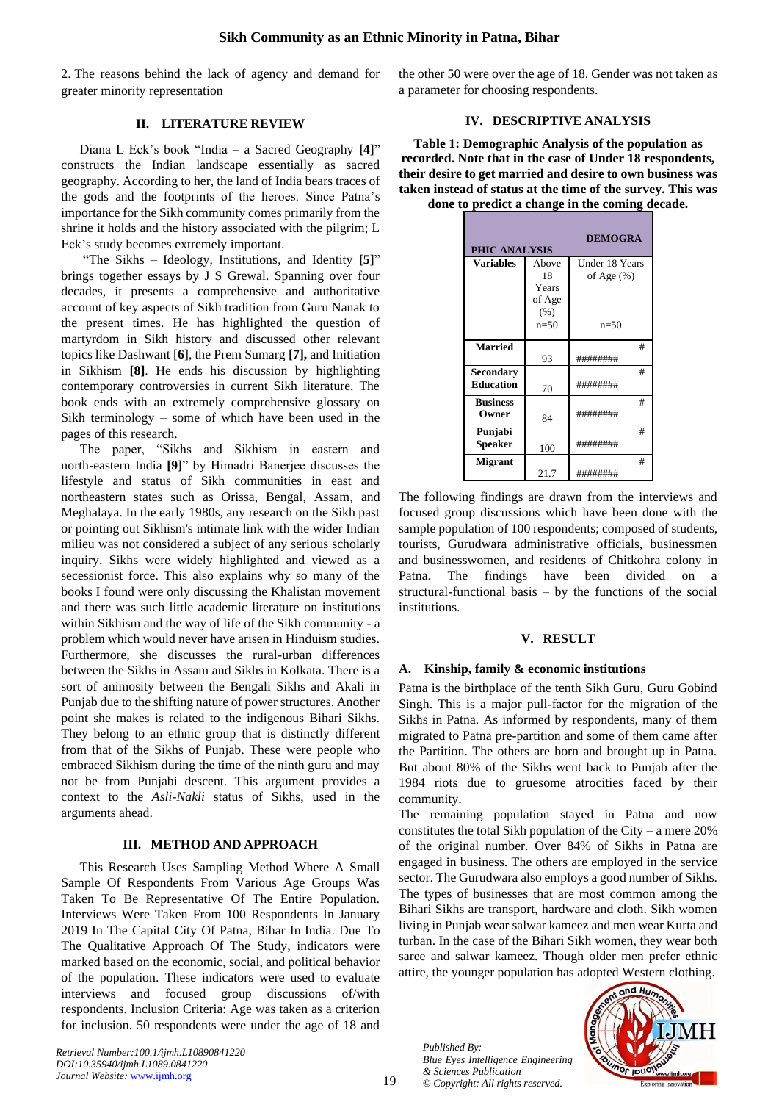2. The reasons behind the lack of agency and demand for greater minority representation

## **II. LITERATURE REVIEW**

Diana L Eck's book "India – a Sacred Geography **[4]**" constructs the Indian landscape essentially as sacred geography. According to her, the land of India bears traces of the gods and the footprints of the heroes. Since Patna's importance for the Sikh community comes primarily from the shrine it holds and the history associated with the pilgrim; L Eck's study becomes extremely important.

"The Sikhs – Ideology, Institutions, and Identity **[5]**" brings together essays by J S Grewal. Spanning over four decades, it presents a comprehensive and authoritative account of key aspects of Sikh tradition from Guru Nanak to the present times. He has highlighted the question of martyrdom in Sikh history and discussed other relevant topics like Dashwant [**6**], the Prem Sumarg **[7],** and Initiation in Sikhism **[8]**. He ends his discussion by highlighting contemporary controversies in current Sikh literature. The book ends with an extremely comprehensive glossary on Sikh terminology – some of which have been used in the pages of this research.

The paper, "Sikhs and Sikhism in eastern and north-eastern India **[9]**" by Himadri Banerjee discusses the lifestyle and status of Sikh communities in east and northeastern states such as Orissa, Bengal, Assam, and Meghalaya. In the early 1980s, any research on the Sikh past or pointing out Sikhism's intimate link with the wider Indian milieu was not considered a subject of any serious scholarly inquiry. Sikhs were widely highlighted and viewed as a secessionist force. This also explains why so many of the books I found were only discussing the Khalistan movement and there was such little academic literature on institutions within Sikhism and the way of life of the Sikh community - a problem which would never have arisen in Hinduism studies. Furthermore, she discusses the rural-urban differences between the Sikhs in Assam and Sikhs in Kolkata. There is a sort of animosity between the Bengali Sikhs and Akali in Punjab due to the shifting nature of power structures. Another point she makes is related to the indigenous Bihari Sikhs. They belong to an ethnic group that is distinctly different from that of the Sikhs of Punjab. These were people who embraced Sikhism during the time of the ninth guru and may not be from Punjabi descent. This argument provides a context to the *Asli-Nakli* status of Sikhs, used in the arguments ahead.

#### **III. METHOD AND APPROACH**

This Research Uses Sampling Method Where A Small Sample Of Respondents From Various Age Groups Was Taken To Be Representative Of The Entire Population. Interviews Were Taken From 100 Respondents In January 2019 In The Capital City Of Patna, Bihar In India. Due To The Qualitative Approach Of The Study, indicators were marked based on the economic, social, and political behavior of the population. These indicators were used to evaluate interviews and focused group discussions of/with respondents. Inclusion Criteria: Age was taken as a criterion for inclusion. 50 respondents were under the age of 18 and

*Retrieval Number:100.1/ijmh.L10890841220 DOI:10.35940/ijmh.L1089.0841220 Journal Website:* [www.ijmh.org](http://www.ijmh.org/)

the other 50 were over the age of 18. Gender was not taken as a parameter for choosing respondents.

# **IV. DESCRIPTIVE ANALYSIS**

**Table 1: Demographic Analysis of the population as recorded. Note that in the case of Under 18 respondents, their desire to get married and desire to own business was taken instead of status at the time of the survey. This was done to predict a change in the coming decade.**

| <b>DEMOGRA</b><br><b>PHIC ANALYSIS</b> |        |                |
|----------------------------------------|--------|----------------|
| Variables                              | Above  | Under 18 Years |
|                                        | 18     | of Age $(\% )$ |
|                                        | Years  |                |
|                                        | of Age |                |
|                                        | (% )   |                |
|                                        | $n=50$ | $n=50$         |
| <b>Married</b>                         |        | #              |
|                                        | 93     | ########       |
| <b>Secondary</b>                       |        | #              |
| <b>Education</b>                       | 70     | ########       |
| <b>Business</b>                        |        | #              |
| Owner                                  | 84     | ########       |
| Punjabi                                |        | #              |
| <b>Speaker</b>                         | 100    | ########       |
| <b>Migrant</b>                         |        | #              |
|                                        | 21.7   | ########       |

The following findings are drawn from the interviews and focused group discussions which have been done with the sample population of 100 respondents; composed of students, tourists, Gurudwara administrative officials, businessmen and businesswomen, and residents of Chitkohra colony in Patna. The findings have been divided on a structural-functional basis – by the functions of the social institutions.

#### **V. RESULT**

#### **A. Kinship, family & economic institutions**

Patna is the birthplace of the tenth Sikh Guru, Guru Gobind Singh. This is a major pull-factor for the migration of the Sikhs in Patna. As informed by respondents, many of them migrated to Patna pre-partition and some of them came after the Partition. The others are born and brought up in Patna. But about 80% of the Sikhs went back to Punjab after the 1984 riots due to gruesome atrocities faced by their community.

The remaining population stayed in Patna and now constitutes the total Sikh population of the City – a mere  $20\%$ of the original number. Over 84% of Sikhs in Patna are engaged in business. The others are employed in the service sector. The Gurudwara also employs a good number of Sikhs. The types of businesses that are most common among the Bihari Sikhs are transport, hardware and cloth. Sikh women living in Punjab wear salwar kameez and men wear Kurta and turban. In the case of the Bihari Sikh women, they wear both saree and salwar kameez. Though older men prefer ethnic attire, the younger population has adopted Western clothing.

*Published By: Blue Eyes Intelligence Engineering & Sciences Publication © Copyright: All rights reserved.*

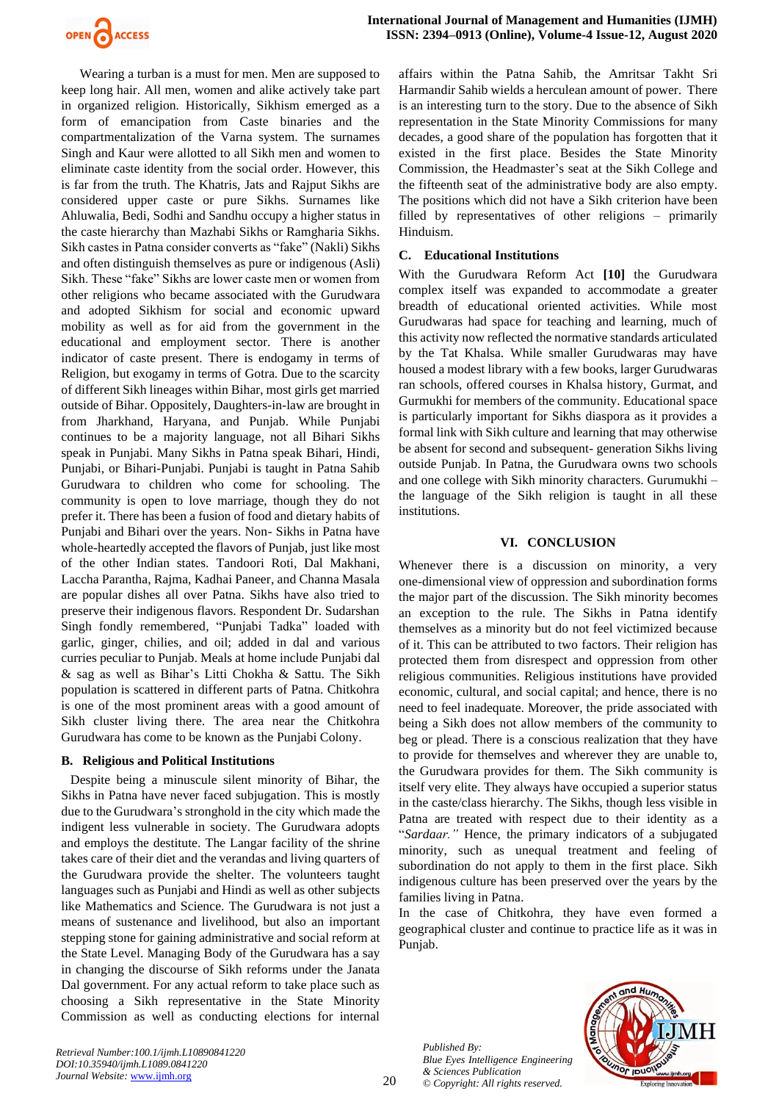

Wearing a turban is a must for men. Men are supposed to keep long hair. All men, women and alike actively take part in organized religion. Historically, Sikhism emerged as a form of emancipation from Caste binaries and the compartmentalization of the Varna system. The surnames Singh and Kaur were allotted to all Sikh men and women to eliminate caste identity from the social order. However, this is far from the truth. The Khatris, Jats and Rajput Sikhs are considered upper caste or pure Sikhs. Surnames like Ahluwalia, Bedi, Sodhi and Sandhu occupy a higher status in the caste hierarchy than Mazhabi Sikhs or Ramgharia Sikhs. Sikh castes in Patna consider converts as "fake" (Nakli) Sikhs and often distinguish themselves as pure or indigenous (Asli) Sikh. These "fake" Sikhs are lower caste men or women from other religions who became associated with the Gurudwara and adopted Sikhism for social and economic upward mobility as well as for aid from the government in the educational and employment sector. There is another indicator of caste present. There is endogamy in terms of Religion, but exogamy in terms of Gotra. Due to the scarcity of different Sikh lineages within Bihar, most girls get married outside of Bihar. Oppositely, Daughters-in-law are brought in from Jharkhand, Haryana, and Punjab. While Punjabi continues to be a majority language, not all Bihari Sikhs speak in Punjabi. Many Sikhs in Patna speak Bihari, Hindi, Punjabi, or Bihari-Punjabi. Punjabi is taught in Patna Sahib Gurudwara to children who come for schooling. The community is open to love marriage, though they do not prefer it. There has been a fusion of food and dietary habits of Punjabi and Bihari over the years. Non- Sikhs in Patna have whole-heartedly accepted the flavors of Punjab, just like most of the other Indian states. Tandoori Roti, Dal Makhani, Laccha Parantha, Rajma, Kadhai Paneer, and Channa Masala are popular dishes all over Patna. Sikhs have also tried to preserve their indigenous flavors. Respondent Dr. Sudarshan Singh fondly remembered, "Punjabi Tadka" loaded with garlic, ginger, chilies, and oil; added in dal and various curries peculiar to Punjab. Meals at home include Punjabi dal & sag as well as Bihar's Litti Chokha & Sattu. The Sikh population is scattered in different parts of Patna. Chitkohra is one of the most prominent areas with a good amount of Sikh cluster living there. The area near the Chitkohra Gurudwara has come to be known as the Punjabi Colony.

# **B. Religious and Political Institutions**

Despite being a minuscule silent minority of Bihar, the Sikhs in Patna have never faced subjugation. This is mostly due to the Gurudwara's stronghold in the city which made the indigent less vulnerable in society. The Gurudwara adopts and employs the destitute. The Langar facility of the shrine takes care of their diet and the verandas and living quarters of the Gurudwara provide the shelter. The volunteers taught languages such as Punjabi and Hindi as well as other subjects like Mathematics and Science. The Gurudwara is not just a means of sustenance and livelihood, but also an important stepping stone for gaining administrative and social reform at the State Level. Managing Body of the Gurudwara has a say in changing the discourse of Sikh reforms under the Janata Dal government. For any actual reform to take place such as choosing a Sikh representative in the State Minority Commission as well as conducting elections for internal affairs within the Patna Sahib, the Amritsar Takht Sri Harmandir Sahib wields a herculean amount of power. There is an interesting turn to the story. Due to the absence of Sikh representation in the State Minority Commissions for many decades, a good share of the population has forgotten that it existed in the first place. Besides the State Minority Commission, the Headmaster's seat at the Sikh College and the fifteenth seat of the administrative body are also empty. The positions which did not have a Sikh criterion have been filled by representatives of other religions – primarily Hinduism.

## **C. Educational Institutions**

With the Gurudwara Reform Act **[10]** the Gurudwara complex itself was expanded to accommodate a greater breadth of educational oriented activities. While most Gurudwaras had space for teaching and learning, much of this activity now reflected the normative standards articulated by the Tat Khalsa. While smaller Gurudwaras may have housed a modest library with a few books, larger Gurudwaras ran schools, offered courses in Khalsa history, Gurmat, and Gurmukhi for members of the community. Educational space is particularly important for Sikhs diaspora as it provides a formal link with Sikh culture and learning that may otherwise be absent for second and subsequent- generation Sikhs living outside Punjab. In Patna, the Gurudwara owns two schools and one college with Sikh minority characters. Gurumukhi – the language of the Sikh religion is taught in all these institutions.

## **VI. CONCLUSION**

Whenever there is a discussion on minority, a very one-dimensional view of oppression and subordination forms the major part of the discussion. The Sikh minority becomes an exception to the rule. The Sikhs in Patna identify themselves as a minority but do not feel victimized because of it. This can be attributed to two factors. Their religion has protected them from disrespect and oppression from other religious communities. Religious institutions have provided economic, cultural, and social capital; and hence, there is no need to feel inadequate. Moreover, the pride associated with being a Sikh does not allow members of the community to beg or plead. There is a conscious realization that they have to provide for themselves and wherever they are unable to, the Gurudwara provides for them. The Sikh community is itself very elite. They always have occupied a superior status in the caste/class hierarchy. The Sikhs, though less visible in Patna are treated with respect due to their identity as a "*Sardaar."* Hence, the primary indicators of a subjugated minority, such as unequal treatment and feeling of subordination do not apply to them in the first place. Sikh indigenous culture has been preserved over the years by the families living in Patna.

In the case of Chitkohra, they have even formed a geographical cluster and continue to practice life as it was in Punjab.

*Published By: Blue Eyes Intelligence Engineering & Sciences Publication © Copyright: All rights reserved.*



*Retrieval Number:100.1/ijmh.L10890841220 DOI:10.35940/ijmh.L1089.0841220 Journal Website:* [www.ijmh.org](http://www.ijmh.org/)